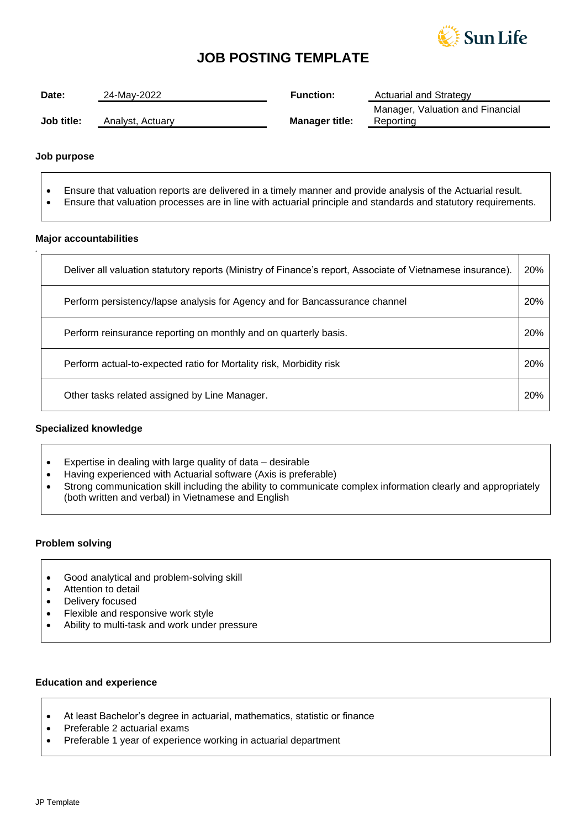

## **JOB POSTING TEMPLATE**

| Date:      | 24-Mav-2022      | <b>Function:</b>      | <b>Actuarial and Strategy</b>                 |
|------------|------------------|-----------------------|-----------------------------------------------|
| Job title: | Analyst, Actuary | <b>Manager title:</b> | Manager, Valuation and Financial<br>Reporting |

#### **Job purpose**

*.*

- Ensure that valuation reports are delivered in a timely manner and provide analysis of the Actuarial result.
- Ensure that valuation processes are in line with actuarial principle and standards and statutory requirements.

#### **Major accountabilities**

| Deliver all valuation statutory reports (Ministry of Finance's report, Associate of Vietnamese insurance). | 20% |
|------------------------------------------------------------------------------------------------------------|-----|
| Perform persistency/lapse analysis for Agency and for Bancassurance channel                                | 20% |
| Perform reinsurance reporting on monthly and on quarterly basis.                                           | 20% |
| Perform actual-to-expected ratio for Mortality risk, Morbidity risk                                        | 20% |
| Other tasks related assigned by Line Manager.                                                              | 20% |

#### **Specialized knowledge**

- Expertise in dealing with large quality of data desirable
- Having experienced with Actuarial software (Axis is preferable)
- Strong communication skill including the ability to communicate complex information clearly and appropriately (both written and verbal) in Vietnamese and English

#### **Problem solving**

- Good analytical and problem-solving skill
- Attention to detail
- Delivery focused
- Flexible and responsive work style
- Ability to multi-task and work under pressure

## **Education and experience**

- At least Bachelor's degree in actuarial, mathematics, statistic or finance
- Preferable 2 actuarial exams
- Preferable 1 year of experience working in actuarial department